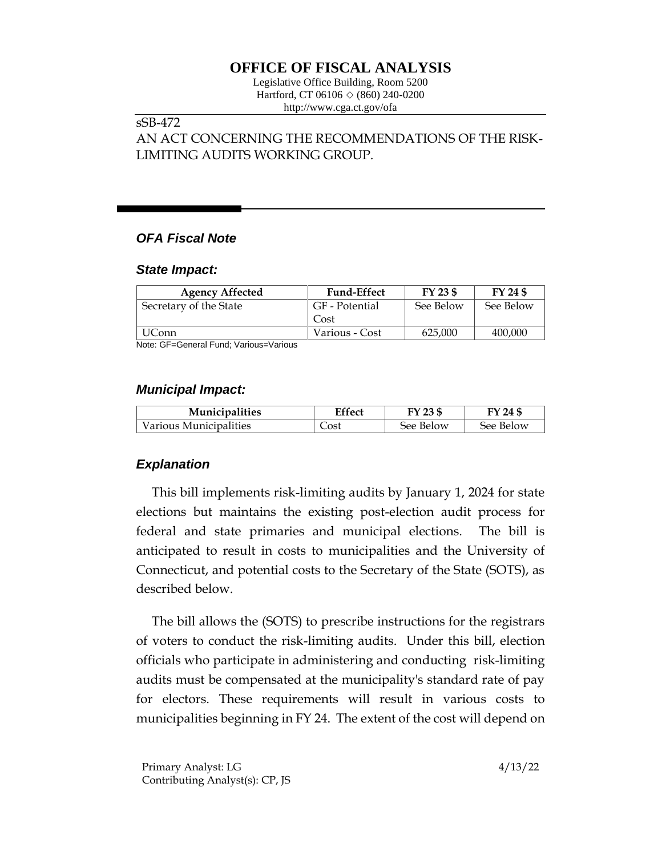# **OFFICE OF FISCAL ANALYSIS**

Legislative Office Building, Room 5200 Hartford, CT 06106  $\Diamond$  (860) 240-0200 http://www.cga.ct.gov/ofa

## sSB-472

AN ACT CONCERNING THE RECOMMENDATIONS OF THE RISK-LIMITING AUDITS WORKING GROUP.

## *OFA Fiscal Note*

#### *State Impact:*

| <b>Agency Affected</b> | <b>Fund-Effect</b> | FY 23 \$  | FY 24 \$  |
|------------------------|--------------------|-----------|-----------|
| Secretary of the State | GF - Potential     | See Below | See Below |
|                        | Cost               |           |           |
| UConn                  | Various - Cost     | 625,000   | 400,000   |

Note: GF=General Fund; Various=Various

### *Municipal Impact:*

| <b>Municipalities</b>  | Effect | FY 23 \$  | FY 24 \$  |
|------------------------|--------|-----------|-----------|
| Various Municipalities | Cost   | See Below | See Below |

## *Explanation*

This bill implements risk-limiting audits by January 1, 2024 for state elections but maintains the existing post-election audit process for federal and state primaries and municipal elections. The bill is anticipated to result in costs to municipalities and the University of Connecticut, and potential costs to the Secretary of the State (SOTS), as described below.

The bill allows the (SOTS) to prescribe instructions for the registrars of voters to conduct the risk-limiting audits. Under this bill, election officials who participate in administering and conducting risk-limiting audits must be compensated at the municipality's standard rate of pay for electors. These requirements will result in various costs to municipalities beginning in FY 24. The extent of the cost will depend on